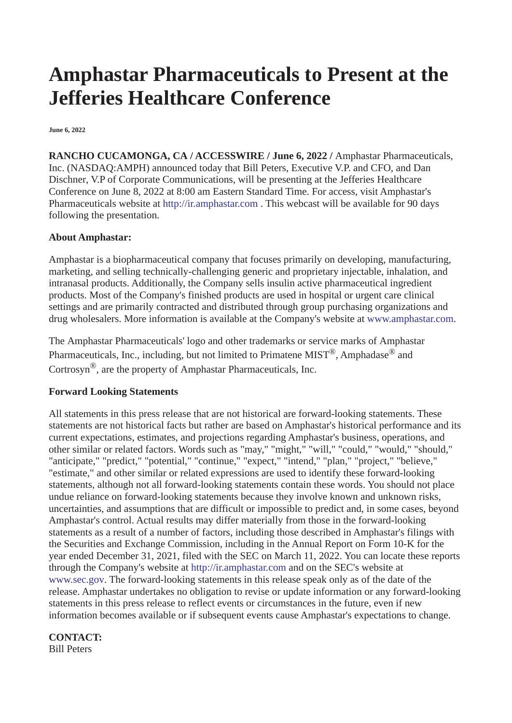## **Amphastar Pharmaceuticals to Present at the Jefferies Healthcare Conference**

**June 6, 2022**

**RANCHO CUCAMONGA, CA / ACCESSWIRE / June 6, 2022 /** Amphastar Pharmaceuticals, Inc. (NASDAQ:AMPH) announced today that Bill Peters, Executive V.P. and CFO, and Dan Dischner, V.P of Corporate Communications, will be presenting at the Jefferies Healthcare Conference on June 8, 2022 at 8:00 am Eastern Standard Time. For access, visit Amphastar's Pharmaceuticals website at [http://ir.amphastar.com](https://pr.report/lYfZ5aU1) . This webcast will be available for 90 days following the presentation.

## **About Amphastar:**

Amphastar is a biopharmaceutical company that focuses primarily on developing, manufacturing, marketing, and selling technically-challenging generic and proprietary injectable, inhalation, and intranasal products. Additionally, the Company sells insulin active pharmaceutical ingredient products. Most of the Company's finished products are used in hospital or urgent care clinical settings and are primarily contracted and distributed through group purchasing organizations and drug wholesalers. More information is available at the Company's website at [www.amphastar.com.](https://pr.report/5Ppn6TfZ)

The Amphastar Pharmaceuticals' logo and other trademarks or service marks of Amphastar Pharmaceuticals, Inc., including, but not limited to Primatene MIST®, Amphadase® and Cortrosyn®, are the property of Amphastar Pharmaceuticals, Inc.

## **Forward Looking Statements**

All statements in this press release that are not historical are forward-looking statements. These statements are not historical facts but rather are based on Amphastar's historical performance and its current expectations, estimates, and projections regarding Amphastar's business, operations, and other similar or related factors. Words such as "may," "might," "will," "could," "would," "should," "anticipate," "predict," "potential," "continue," "expect," "intend," "plan," "project," "believe," "estimate," and other similar or related expressions are used to identify these forward-looking statements, although not all forward-looking statements contain these words. You should not place undue reliance on forward-looking statements because they involve known and unknown risks, uncertainties, and assumptions that are difficult or impossible to predict and, in some cases, beyond Amphastar's control. Actual results may differ materially from those in the forward-looking statements as a result of a number of factors, including those described in Amphastar's filings with the Securities and Exchange Commission, including in the Annual Report on Form 10-K for the year ended December 31, 2021, filed with the SEC on March 11, 2022. You can locate these reports through the Company's website at<http://ir.amphastar.com>and on the SEC's website at [www.sec.gov](http://www.sec.gov). The forward-looking statements in this release speak only as of the date of the release. Amphastar undertakes no obligation to revise or update information or any forward-looking statements in this press release to reflect events or circumstances in the future, even if new information becomes available or if subsequent events cause Amphastar's expectations to change.

## **CONTACT:**

Bill Peters